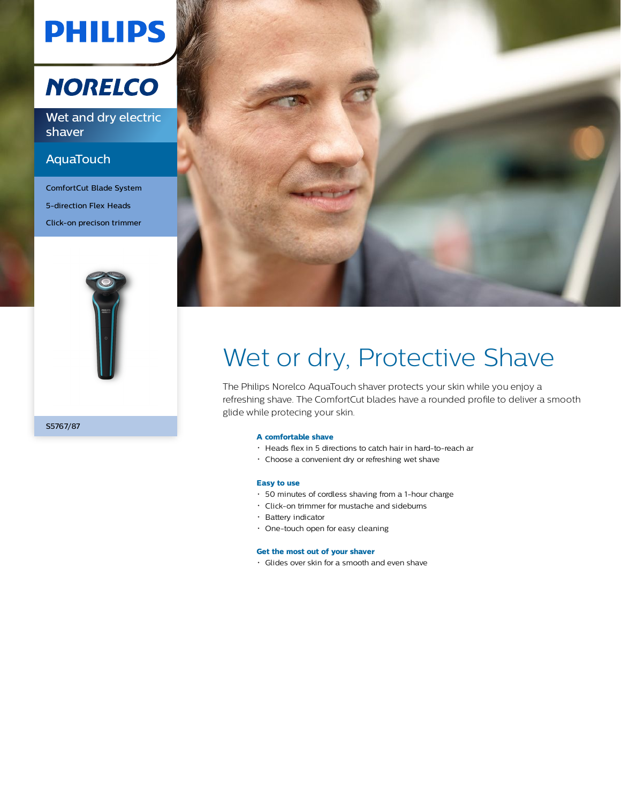# **PHILIPS**

## **NORELCO**

Wet and dry electric shaver

### AquaTouch

ComfortCut Blade System 5-direction Flex Heads Click-on precison trimmer



S5767/87



# Wet or dry, Protective Shave

The Philips Norelco AquaTouch shaver protects your skin while you enjoy a refreshing shave. The ComfortCut blades have a rounded profile to deliver a smooth glide while protecing your skin.

#### **A comfortable shave**

- Heads flex in 5 directions to catch hair in hard-to-reach ar
- Choose a convenient dry or refreshing wet shave

#### **Easy to use**

- 50 minutes of cordless shaving from a 1-hour charge
- Click-on trimmer for mustache and sideburns
- Battery indicator
- One-touch open for easy cleaning

#### **Get the most out of your shaver**

Glides over skin for a smooth and even shave